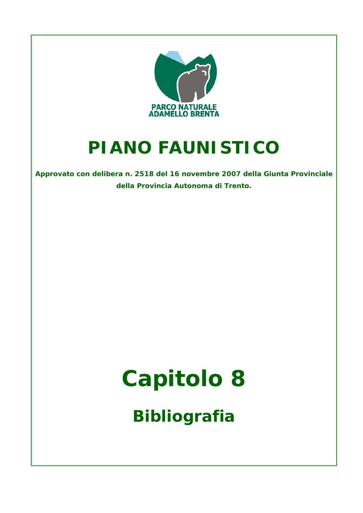

## **PIANO FAUNISTICO**

**Approvato con delibera n. 2518 del 16 novembre 2007 della Giunta Provinciale della Provincia Autonoma di Trento.**

## **Capitolo 8**

**Bibliografia**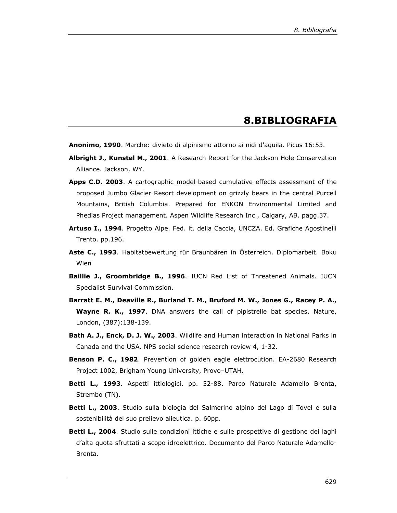## **8.BIBLIOGRAFIA**

**Anonimo, 1990**. Marche: divieto di alpinismo attorno ai nidi d'aquila. Picus 16:53.

- **Albright J., Kunstel M., 2001**. A Research Report for the Jackson Hole Conservation Alliance. Jackson, WY.
- **Apps C.D. 2003**. A cartographic model-based cumulative effects assessment of the proposed Jumbo Glacier Resort development on grizzly bears in the central Purcell Mountains, British Columbia. Prepared for ENKON Environmental Limited and Phedias Project management. Aspen Wildlife Research Inc., Calgary, AB. pagg.37.
- **Artuso I., 1994**. Progetto Alpe. Fed. it. della Caccia, UNCZA. Ed. Grafiche Agostinelli Trento. pp.196.
- **Aste C., 1993**. Habitatbewertung für Braunbären in Österreich. Diplomarbeit. Boku Wien
- **Baillie J., Groombridge B., 1996**. IUCN Red List of Threatened Animals. IUCN Specialist Survival Commission.
- **Barratt E. M., Deaville R., Burland T. M., Bruford M. W., Jones G., Racey P. A., Wayne R. K., 1997**. DNA answers the call of pipistrelle bat species. Nature, London, (387):138-139.
- **Bath A. J., Enck, D. J. W., 2003**. Wildlife and Human interaction in National Parks in Canada and the USA. NPS social science research review 4, 1-32.
- **Benson P. C., 1982**. Prevention of golden eagle elettrocution. EA-2680 Research Project 1002, Brigham Young University, Provo–UTAH.
- **Betti L., 1993**. Aspetti ittiologici. pp. 52-88. Parco Naturale Adamello Brenta, Strembo (TN).
- **Betti L., 2003**. Studio sulla biologia del Salmerino alpino del Lago di Tovel e sulla sostenibilità del suo prelievo alieutica. p. 60pp.
- **Betti L., 2004**. Studio sulle condizioni ittiche e sulle prospettive di gestione dei laghi d'alta quota sfruttati a scopo idroelettrico. Documento del Parco Naturale Adamello-Brenta.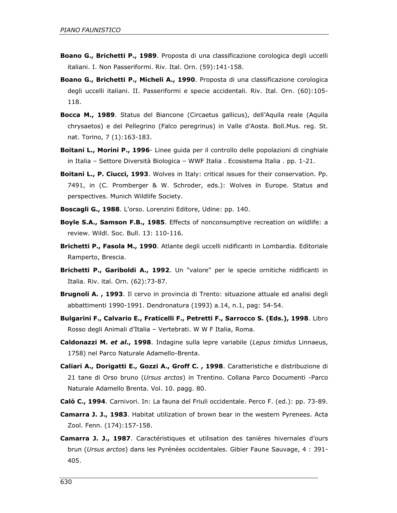- **Boano G., Brichetti P., 1989**. Proposta di una classificazione corologica degli uccelli italiani. I. Non Passeriformi. Riv. Ital. Orn. (59):141-158.
- **Boano G., Brichetti P., Micheli A., 1990**. Proposta di una classificazione corologica degli uccelli italiani. II. Passeriformi e specie accidentali. Riv. Ital. Orn. (60):105- 118.
- **Bocca M., 1989**. Status del Biancone (Circaetus gallicus), dell'Aquila reale (Aquila chrysaetos) e del Pellegrino (Falco peregrinus) in Valle d'Aosta. Boll.Mus. reg. St. nat. Torino, 7 (1):163-183.
- **Boitani L., Morini P., 1996** Linee guida per il controllo delle popolazioni di cinghiale in Italia – Settore Diversità Biologica – WWF Italia . Ecosistema Italia . pp. 1-21.
- **Boitani L., P. Ciucci, 1993**. Wolves in Italy: critical issues for their conservation. Pp. 7491, in (C. Promberger & W. Schroder, eds.): Wolves in Europe. Status and perspectives. Munich Wildlife Society.
- **Boscagli G., 1988**. L'orso. Lorenzini Editore, Udine: pp. 140.
- **Boyle S.A., Samson F.B., 1985**. Effects of nonconsumptive recreation on wildlife: a review. Wildl. Soc. Bull. 13: 110-116.
- **Brichetti P., Fasola M., 1990**. Atlante degli uccelli nidificanti in Lombardia. Editoriale Ramperto, Brescia.
- **Brichetti P., Gariboldi A., 1992**. Un "valore" per le specie ornitiche nidificanti in Italia. Riv. ital. Orn. (62):73-87.
- **Brugnoli A. , 1993**. Il cervo in provincia di Trento: situazione attuale ed analisi degli abbattimenti 1990-1991. Dendronatura (1993) a.14, n.1, pag: 54-54.
- **Bulgarini F., Calvario E., Fraticelli F., Petretti F., Sarrocco S. (Eds.), 1998**. Libro Rosso degli Animali d'Italia – Vertebrati. W W F Italia, Roma.
- **Caldonazzi M.** *et al***., 1998**. Indagine sulla lepre variabile (*Lepus timidus* Linnaeus, 1758) nel Parco Naturale Adamello-Brenta.
- **Caliari A., Dorigatti E., Gozzi A., Groff C. , 1998**. Caratteristiche e distribuzione di 21 tane di Orso bruno (*Ursus arctos*) in Trentino. Collana Parco Documenti -Parco Naturale Adamello Brenta. Vol. 10. pagg. 80.
- **Calò C., 1994**. Carnivori. In: La fauna del Friuli occidentale. Perco F. (ed.): pp. 73-89.
- **Camarra J. J., 1983**. Habitat utilization of brown bear in the western Pyrenees. Acta Zool. Fenn. (174):157-158.
- **Camarra J. J., 1987**. Caractéristiques et utilisation des tanières hivernales d'ours brun (*Ursus arctos*) dans les Pyrénées occidentales. Gibier Faune Sauvage, 4 : 391- 405.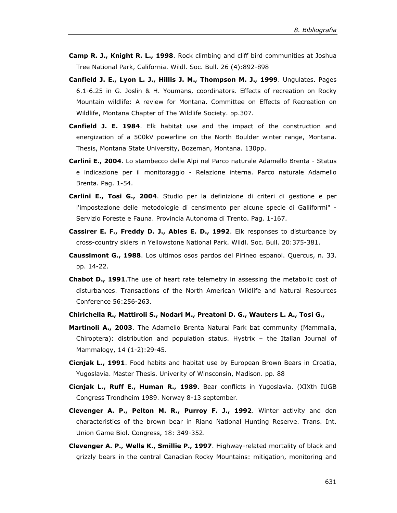- **Camp R. J., Knight R. L., 1998**. Rock climbing and cliff bird communities at Joshua Tree National Park, California. Wildl. Soc. Bull. 26 (4):892-898
- **Canfield J. E., Lyon L. J., Hillis J. M., Thompson M. J., 1999**. Ungulates. Pages 6.1-6.25 in G. Joslin & H. Youmans, coordinators. Effects of recreation on Rocky Mountain wildlife: A review for Montana. Committee on Effects of Recreation on Wildlife, Montana Chapter of The Wildlife Society. pp.307.
- **Canfield J. E. 1984**. Elk habitat use and the impact of the construction and energization of a 500kV powerline on the North Boulder winter range, Montana. Thesis, Montana State University, Bozeman, Montana. 130pp.
- **Carlini E., 2004**. Lo stambecco delle Alpi nel Parco naturale Adamello Brenta Status e indicazione per il monitoraggio - Relazione interna. Parco naturale Adamello Brenta. Pag. 1-54.
- **Carlini E., Tosi G., 2004**. Studio per la definizione di criteri di gestione e per l'impostazione delle metodologie di censimento per alcune specie di Galliformi" - Servizio Foreste e Fauna. Provincia Autonoma di Trento. Pag. 1-167.
- **Cassirer E. F., Freddy D. J., Ables E. D., 1992**. Elk responses to disturbance by cross-country skiers in Yellowstone National Park. Wildl. Soc. Bull. 20:375-381.
- **Caussimont G., 1988**. Los ultimos osos pardos del Pirineo espanol. Quercus, n. 33. pp. 14-22.
- **Chabot D., 1991**.The use of heart rate telemetry in assessing the metabolic cost of disturbances. Transactions of the North American Wildlife and Natural Resources Conference 56:256-263.
- **Chirichella R., Mattiroli S., Nodari M., Preatoni D. G., Wauters L. A., Tosi G.,**
- **Martinoli A., 2003**. The Adamello Brenta Natural Park bat community (Mammalia, Chiroptera): distribution and population status. Hystrix – the Italian Journal of Mammalogy, 14 (1-2):29-45.
- **Cicnjak L., 1991**. Food habits and habitat use by European Brown Bears in Croatia, Yugoslavia. Master Thesis. Univerity of Winsconsin, Madison. pp. 88
- **Cicnjak L., Ruff E., Human R., 1989**. Bear conflicts in Yugoslavia. (XIXth IUGB Congress Trondheim 1989. Norway 8-13 september.
- **Clevenger A. P., Pelton M. R., Purroy F. J., 1992**. Winter activity and den characteristics of the brown bear in Riano National Hunting Reserve. Trans. Int. Union Game Biol. Congress, 18: 349-352.
- **Clevenger A. P., Wells K., Smillie P., 1997**. Highway-related mortality of black and grizzly bears in the central Canadian Rocky Mountains: mitigation, monitoring and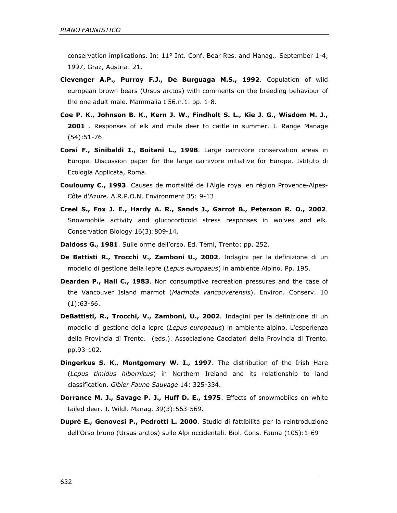conservation implications. In: 11° Int. Conf. Bear Res. and Manag.. September 1-4, 1997, Graz, Austria: 21.

- **Clevenger A.P., Purroy F.J., De Burguaga M.S., 1992**. Copulation of wild european brown bears (Ursus arctos) with comments on the breeding behaviour of the one adult male. Mammalia t 56.n.1. pp. 1-8.
- **Coe P. K., Johnson B. K., Kern J. W., Findholt S. L., Kie J. G., Wisdom M. J., 2001** . Responses of elk and mule deer to cattle in summer. J. Range Manage (54):51-76.
- **Corsi F., Sinibaldi I., Boitani L., 1998**. Large carnivore conservation areas in Europe. Discussion paper for the large carnivore initiative for Europe. Istituto di Ecologia Applicata, Roma.
- **Couloumy C., 1993**. Causes de mortalité de l'Aigle royal en région Provence-Alpes-Côte d'Azure. A.R.P.O.N. Environment 35: 9-13
- **Creel S., Fox J. E., Hardy A. R., Sands J., Garrot B., Peterson R. O., 2002**. Snowmobile activity and glucocorticoid stress responses in wolves and elk. Conservation Biology 16(3):809-14.
- **Daldoss G., 1981**. Sulle orme dell'orso. Ed. Temi, Trento: pp. 252.
- **De Battisti R., Trocchi V., Zamboni U., 2002**. Indagini per la definizione di un modello di gestione della lepre (*Lepus europaeus*) in ambiente Alpino. Pp. 195.
- **Dearden P., Hall C., 1983**. Non consumptive recreation pressures and the case of the Vancouver Island marmot (*Marmota vancouverensis*). Environ. Conserv. 10 (1):63-66.
- **DeBattisti, R., Trocchi, V., Zamboni, U., 2002**. Indagini per la definizione di un modello di gestione della lepre (*Lepus europeaus*) in ambiente alpino. L'esperienza della Provincia di Trento. (eds.). Associazione Cacciatori della Provincia di Trento. pp.93-102.
- **Dingerkus S. K., Montgomery W. I., 1997**. The distribution of the Irish Hare (*Lepus timidus hibernicus*) in Northern Ireland and its relationship to land classification. *Gibier Faune Sauvage* 14: 325-334.
- **Dorrance M. J., Savage P. J., Huff D. E., 1975**. Effects of snowmobiles on white tailed deer. J. Wildl. Manag. 39(3):563-569.
- **Duprè E., Genovesi P., Pedrotti L. 2000**. Studio di fattibilità per la reintroduzione dell'Orso bruno (Ursus arctos) sulle Alpi occidentali. Biol. Cons. Fauna (105):1-69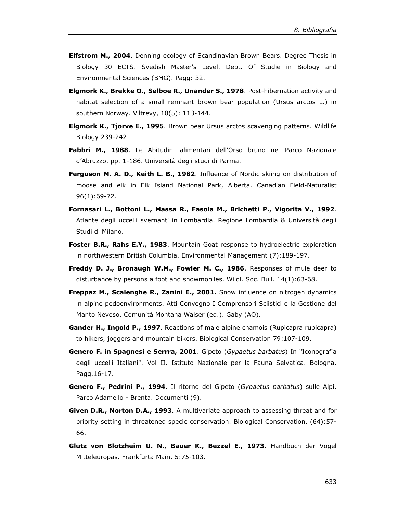- **Elfstrom M., 2004**. Denning ecology of Scandinavian Brown Bears. Degree Thesis in Biology 30 ECTS. Svedish Master's Level. Dept. Of Studie in Biology and Environmental Sciences (BMG). Pagg: 32.
- **Elgmork K., Brekke O., Selboe R., Unander S., 1978**. Post-hibernation activity and habitat selection of a small remnant brown bear population (Ursus arctos L.) in southern Norway. Viltrevy, 10(5): 113-144.
- **Elgmork K., Tjorve E., 1995**. Brown bear Ursus arctos scavenging patterns. Wildlife Biology 239-242
- **Fabbri M., 1988**. Le Abitudini alimentari dell'Orso bruno nel Parco Nazionale d'Abruzzo. pp. 1-186. Università degli studi di Parma.
- **Ferguson M. A. D., Keith L. B., 1982**. Influence of Nordic skiing on distribution of moose and elk in Elk Island National Park, Alberta. Canadian Field-Naturalist 96(1):69-72.
- **Fornasari L., Bottoni L., Massa R., Fasola M., Brichetti P., Vigorita V., 1992**. Atlante degli uccelli svernanti in Lombardia. Regione Lombardia & Università degli Studi di Milano.
- **Foster B.R., Rahs E.Y., 1983**. Mountain Goat response to hydroelectric exploration in northwestern British Columbia. Environmental Management (7):189-197.
- **Freddy D. J., Bronaugh W.M., Fowler M. C., 1986**. Responses of mule deer to disturbance by persons a foot and snowmobiles. Wildl. Soc. Bull. 14(1):63-68.
- **Freppaz M., Scalenghe R., Zanini E., 2001.** Snow influence on nitrogen dynamics in alpine pedoenvironments. Atti Convegno I Comprensori Sciistici e la Gestione del Manto Nevoso. Comunità Montana Walser (ed.). Gaby (AO).
- **Gander H., Ingold P., 1997**. Reactions of male alpine chamois (Rupicapra rupicapra) to hikers, joggers and mountain bikers. Biological Conservation 79:107-109.
- **Genero F. in Spagnesi e Serrra, 2001**. Gipeto (*Gypaetus barbatus*) In "Iconografia degli uccelli Italiani". Vol II. Istituto Nazionale per la Fauna Selvatica. Bologna. Pagg.16-17.
- **Genero F., Pedrini P., 1994**. Il ritorno del Gipeto (*Gypaetus barbatus*) sulle Alpi. Parco Adamello - Brenta. Documenti (9).
- **Given D.R., Norton D.A., 1993**. A multivariate approach to assessing threat and for priority setting in threatened specie conservation. Biological Conservation. (64):57- 66.
- **Glutz von Blotzheim U. N., Bauer K., Bezzel E., 1973**. Handbuch der Vogel Mitteleuropas. Frankfurta Main, 5:75-103.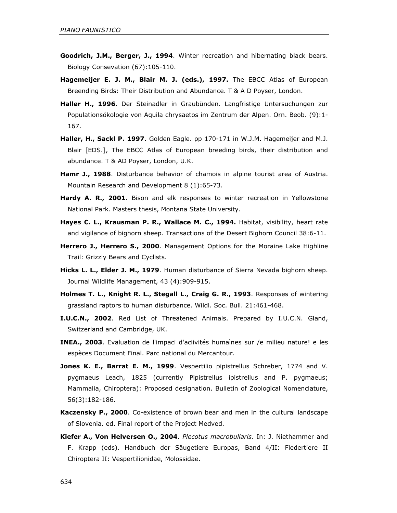- **Goodrich, J.M., Berger, J., 1994**. Winter recreation and hibernating black bears. Biology Consevation (67):105-110.
- **Hagemeijer E. J. M., Blair M. J. (eds.), 1997.** The EBCC Atlas of European Breending Birds: Their Distribution and Abundance. T & A D Poyser, London.
- **Haller H., 1996**. Der Steinadler in Graubünden. Langfristige Untersuchungen zur Populationsökologie von Aquila chrysaetos im Zentrum der Alpen. Orn. Beob. (9):1- 167.
- **Haller, H., Sackl P. 1997**. Golden Eagle. pp 170-171 in W.J.M. Hagemeijer and M.J. Blair [EDS.], The EBCC Atlas of European breeding birds, their distribution and abundance. T & AD Poyser, London, U.K.
- **Hamr J., 1988**. Disturbance behavior of chamois in alpine tourist area of Austria. Mountain Research and Development 8 (1):65-73.
- **Hardy A. R., 2001**. Bison and elk responses to winter recreation in Yellowstone National Park. Masters thesis, Montana State University.
- **Hayes C. L., Krausman P. R., Wallace M. C., 1994.** Habitat, visibility, heart rate and vigilance of bighorn sheep. Transactions of the Desert Bighorn Council 38:6-11.
- **Herrero J., Herrero S., 2000**. Management Options for the Moraine Lake Highline Trail: Grizzly Bears and Cyclists.
- **Hicks L. L., Elder J. M., 1979**. Human disturbance of Sierra Nevada bighorn sheep. Journal Wildlife Management, 43 (4):909-915.
- **Holmes T. L., Knight R. L., Stegall L., Craig G. R., 1993**. Responses of wintering grassland raptors to human disturbance. Wildl. Soc. Bull. 21:461-468.
- **I.U.C.N., 2002**. Red List of Threatened Animals. Prepared by I.U.C.N. Gland, Switzerland and Cambridge, UK.
- **INEA., 2003**. Evaluation de l'impaci d'aciivités humaìnes sur /e milieu nature! e les espèces Document Final. Parc national du Mercantour.
- **Jones K. E., Barrat E. M., 1999**. Vespertilio pipistrellus Schreber, 1774 and V. pygmaeus Leach, 1825 (currently Pipistrellus ipistrellus and P. pygmaeus; Mammalia, Chiroptera): Proposed designation. Bulletin of Zoological Nomenclature, 56(3):182-186.
- **Kaczensky P., 2000**. Co-existence of brown bear and men in the cultural landscape of Slovenia. ed. Final report of the Project Medved.
- **Kiefer A., Von Helversen O., 2004**. *Plecotus macrobullaris.* In: J. Niethammer and F. Krapp (eds). Handbuch der Säugetiere Europas, Band 4/II: Fledertiere II Chiroptera II: Vespertilionidae, Molossidae.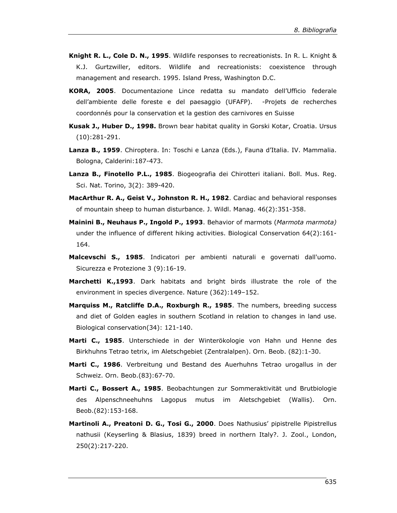- **Knight R. L., Cole D. N., 1995**. Wildlife responses to recreationists. In R. L. Knight & K.J. Gurtzwiller, editors. Wildlife and recreationists: coexistence through management and research. 1995. Island Press, Washington D.C.
- **KORA, 2005**. Documentazione Lince redatta su mandato dell'Ufficio federale dell'ambiente delle foreste e del paesaggio (UFAFP). -Projets de recherches coordonnés pour la conservation et la gestion des carnivores en Suisse
- **Kusak J., Huber D., 1998.** Brown bear habitat quality in Gorski Kotar, Croatia. Ursus (10):281-291.
- **Lanza B., 1959**. Chiroptera. In: Toschi e Lanza (Eds.), Fauna d'Italia. IV. Mammalia. Bologna, Calderini:187-473.
- **Lanza B., Finotello P.L., 1985**. Biogeografia dei Chirotteri italiani. Boll. Mus. Reg. Sci. Nat. Torino, 3(2): 389-420.
- **MacArthur R. A., Geist V., Johnston R. H., 1982**. Cardiac and behavioral responses of mountain sheep to human disturbance. J. Wildl. Manag. 46(2):351-358.
- **Mainini B., Neuhaus P., Ingold P., 1993**. Behavior of marmots (*Marmota marmota)*  under the influence of different hiking activities. Biological Conservation 64(2):161- 164.
- **Malcevschi S., 1985**. Indicatori per ambienti naturali e governati dall'uomo. Sicurezza e Protezione 3 (9):16-19.
- **Marchetti K.,1993**. Dark habitats and bright birds illustrate the role of the environment in species divergence. Nature (362):149–152.
- **Marquiss M., Ratcliffe D.A., Roxburgh R., 1985**. The numbers, breeding success and diet of Golden eagles in southern Scotland in relation to changes in land use. Biological conservation(34): 121-140.
- **Marti C., 1985**. Unterschiede in der Winterökologie von Hahn und Henne des Birkhuhns Tetrao tetrix, im Aletschgebiet (Zentralalpen). Orn. Beob. (82):1-30.
- **Marti C., 1986**. Verbreitung und Bestand des Auerhuhns Tetrao urogallus in der Schweiz. Orn. Beob.(83):67-70.
- **Marti C., Bossert A., 1985**. Beobachtungen zur Sommeraktivität und Brutbiologie des Alpenschneehuhns Lagopus mutus im Aletschgebiet (Wallis). Orn. Beob.(82):153-168.
- **Martinoli A., Preatoni D. G., Tosi G., 2000**. Does Nathusius' pipistrelle Pipistrellus nathusii (Keyserling & Blasius, 1839) breed in northern Italy?. J. Zool., London, 250(2):217-220.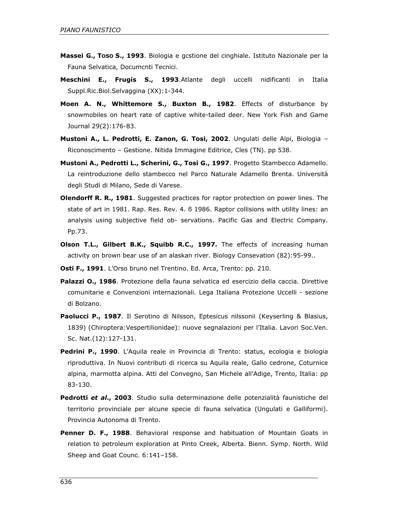- **Massei G., TOSO S., 1993**. Biologia e gcstione del cinghiale. Istituto Nazionale per la Fauna Selvatica, Documcnti Tecnici.
- **Meschini E., Frugis S., 1993**.Atlante degli uccelli nidificanti in Italia Suppl.Ric.Biol.Selvaggina (XX):1-344.
- **Moen A. N., Whittemore S., Buxton B., 1982**. Effects of disturbance by snowmobiles on heart rate of captive white-tailed deer. New York Fish and Game Journal 29(2):176-83.
- **Mustoni A., L. Pedrotti, E. Zanon, G. Tosi, 2002**. Ungulati delle Alpi, Biologia Riconoscimento – Gestione. Nitida Immagine Editrice, Cles (TN). pp 538.
- **Mustoni A., Pedrotti L., Scherini, G., Tosi G., 1997**. Progetto Stambecco Adamello. La reintroduzione dello stambecco nel Parco Naturale Adamello Brenta. Università degli Studi di Milano, Sede di Varese.
- **Olendorff R. R., 1981**. Suggested practices for raptor protection on power lines. The state of art in 1981. Rap. Res. Rev. 4. ß 1986. Raptor collisions with utility lines: an analysis using subjective field ob- servations. Pacific Gas and Electric Company. Pp.73.
- **Olson T.L., Gilbert B.K., Squibb R.C., 1997.** The effects of increasing human activity on brown bear use of an alaskan river. Biology Consevation (82):95-99..
- **Osti F., 1991**. L'Orso bruno nel Trentino. Ed. Arca, Trento: pp. 210.
- **Palazzi O., 1986**. Protezione della fauna selvatica ed esercizio della caccia. Direttive comunitarie e Convenzioni internazionali. Lega Italiana Protezione Uccelli - sezione di Bolzano.
- **Paolucci P., 1987**. Il Serotino di Nilsson, Eptesicus nilssonii (Keyserling & Blasius, 1839) (Chiroptera:Vespertilionidae): nuove segnalazioni per l'Italia. Lavori Soc.Ven. Sc. Nat.(12):127-131.
- **Pedrini P., 1990**. L'Aquila reale in Provincia di Trento: status, ecologia e biologia riproduttiva. In Nuovi contributi di ricerca su Aquila reale, Gallo cedrone, Coturnice alpina, marmotta alpina. Atti del Convegno, San Michele all'Adige, Trento, Italia: pp 83-130.
- **Pedrotti** *et al***., 2003**. Studio sulla determinazione delle potenzialità faunistiche del territorio provinciale per alcune specie di fauna selvatica (Ungulati e Galliformi). Provincia Autonoma di Trento.
- **Penner D. F., 1988**. Behavioral response and habituation of Mountain Goats in relation to petroleum exploration at Pinto Creek, Alberta. Bienn. Symp. North. Wild Sheep and Goat Counc. 6:141–158.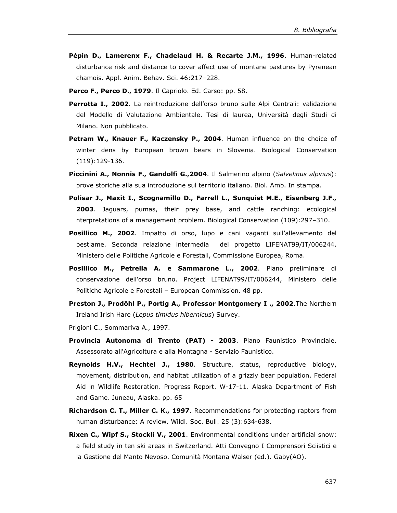- **Pépin D., Lamerenx F., Chadelaud H. & Recarte J.M., 1996**. Human-related disturbance risk and distance to cover affect use of montane pastures by Pyrenean chamois. Appl. Anim. Behav. Sci. 46:217–228.
- **Perco F., Perco D., 1979**. Il Capriolo. Ed. Carso: pp. 58.
- Perrotta I., 2002. La reintroduzione dell'orso bruno sulle Alpi Centrali: validazione del Modello di Valutazione Ambientale. Tesi di laurea, Università degli Studi di Milano. Non pubblicato.
- **Petram W., Knauer F., Kaczensky P., 2004**. Human influence on the choice of winter dens by European brown bears in Slovenia. Biological Conservation (119):129-136.
- **Piccinini A., Nonnis F., Gandolfi G.,2004**. Il Salmerino alpino (*Salvelinus alpinus*): prove storiche alla sua introduzione sul territorio italiano. Biol. Amb. In stampa.
- **Polisar J., Maxit I., Scognamillo D., Farrell L., Sunquist M.E., Eisenberg J.F., 2003**. Jaguars, pumas, their prey base, and cattle ranching: ecological nterpretations of a management problem. Biological Conservation (109):297–310.
- **Posillico M., 2002**. Impatto di orso, lupo e cani vaganti sull'allevamento del bestiame. Seconda relazione intermedia del progetto LIFENAT99/IT/006244. Ministero delle Politiche Agricole e Forestali, Commissione Europea, Roma.
- **Posillico M., Petrella A. e Sammarone L., 2002**. Piano preliminare di conservazione dell'orso bruno. Project LIFENAT99/IT/006244, Ministero delle Politiche Agricole e Forestali – European Commission. 48 pp.
- **Preston J., Prodöhl P., Portig A., Professor Montgomery I ., 2002**.The Northern Ireland Irish Hare (*Lepus timidus hibernicus*) Survey.
- Prigioni C., Sommariva A., 1997.
- **Provincia Autonoma di Trento (PAT) 2003**. Piano Faunistico Provinciale. Assessorato all'Agricoltura e alla Montagna - Servizio Faunistico.
- **Reynolds H.V., Hechtel J., 1980**. Structure, status, reproductive biology, movement, distribution, and habitat utilization of a grizzly bear population. Federal Aid in Wildlife Restoration. Progress Report. W-17-11. Alaska Department of Fish and Game. Juneau, Alaska. pp. 65
- **Richardson C. T., Miller C. K., 1997**. Recommendations for protecting raptors from human disturbance: A review. Wildl. Soc. Bull. 25 (3):634-638.
- **Rixen C., Wipf S., Stockli V., 2001**. Environmental conditions under artificial snow: a field study in ten ski areas in Switzerland. Atti Convegno I Comprensori Sciistici e la Gestione del Manto Nevoso. Comunità Montana Walser (ed.). Gaby(AO).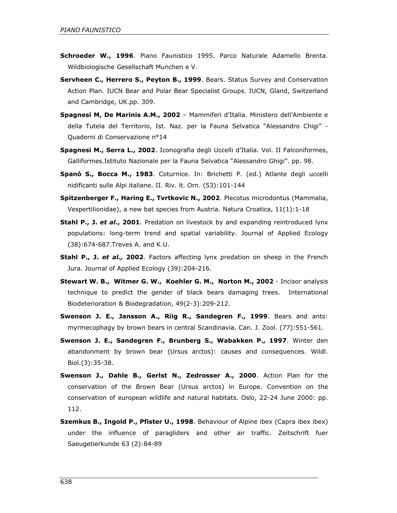- **Schroeder W., 1996**. Piano Faunistico 1995. Parco Naturale Adamello Brenta. Wildbiologische Gesellschaft Munchen e V.
- **Servheen C., Herrero S., Peyton B., 1999**. Bears. Status Survey and Conservation Action Plan. IUCN Bear and Polar Bear Specialist Groups. IUCN, Gland, Switzerland and Cambridge, UK.pp. 309.
- **Spagnesi M, De Marinis A.M., 2002** Mammiferi d'Italia. Ministero dell'Ambiente e della Tutela del Territorio, Ist. Naz. per la Fauna Selvatica "Alessandro Chigi" - Quaderni di Conservazione n°14
- **Spagnesi M., Serra L., 2002**. Iconografia degli Uccelli d'Italia. Vol. II Falconiformes, Galliformes.Istituto Nazionale per la Fauna Selvatica "Alessandro Ghigi". pp. 98.
- **Spanò S., Bocca M., 1983**. Coturnice. In: Brichetti P. (ed.) Atlante degli uccelli nidificanti sulle Alpi italiane. II. Riv. it. Orn. (53):101-144
- **Spitzenberger F., Haring E., Tvrtkovic N., 2002**. Plecotus microdontus (Mammalia, Vespertilionidae), a new bat species from Austria. Natura Croatica, 11(1):1-18
- **Stahl P., J.** *et al***., 2001**. Predation on livestock by and expanding reintroduced lynx populations: long-term trend and spatial variability. Journal of Applied Ecology (38):674-687.Treves A. and K.U.
- **Stahl P., J.** *et al.,* **2002**. Factors affecting lynx predation on sheep in the French Jura. Journal of Applied Ecology (39):204-216.
- **Stewart W. B., Witmer G. W., Koehler G. M., Norton M., 2002** Incisor analysis technique to predict the gender of black bears damaging trees. International Biodeterioration & Biodegradation, 49(2-3):209-212.
- **Swenson J. E., Jansson A., Riig R., Sandegren F., 1999**. Bears and ants: myrmecophagy by brown bears in central Scandinavia. Can. J. Zool. (77):551-561.
- **Swenson J. E., Sandegren F., Brunberg S., Wabakken P., 1997**. Winter den abandonment by brown bear (Ursus arctos): causes and consequences. Wildl. Biol.(3):35-38.
- **Swenson J., Dahle B., Gerlst N., Zedrosser A., 2000**. Action Plan for the conservation of the Brown Bear (Ursus arctos) in Europe. Convention on the conservation of european wildlife and natural habitats. Oslo, 22-24 June 2000: pp. 112.
- **Szemkus B., Ingold P., Pfister U., 1998**. Behaviour of Alpine ibex (Capra ibex ibex) under the influence of paragliders and other air traffic. Zeitschrift fuer Saeugetierkunde 63 (2):84-89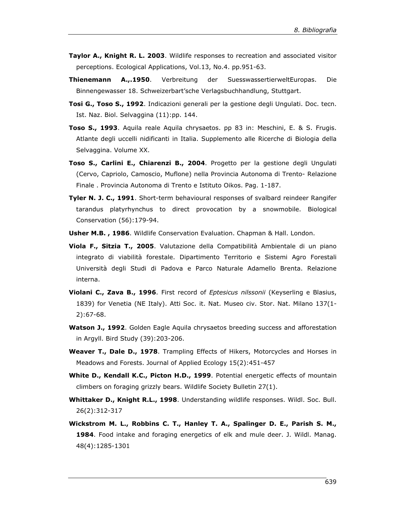- **Taylor A., Knight R. L. 2003**. Wildlife responses to recreation and associated visitor perceptions. Ecological Applications, Vol.13, No.4. pp.951-63.
- **Thienemann A.,.1950**. Verbreitung der SuesswassertierweltEuropas. Die Binnengewasser 18. Schweizerbart'sche Verlagsbuchhandlung, Stuttgart.
- **Tosi G., Toso S., 1992**. Indicazioni generali per la gestione degli Ungulati. Doc. tecn. Ist. Naz. Biol. Selvaggina (11):pp. 144.
- **Toso S., 1993**. Aquila reale Aquila chrysaetos. pp 83 in: Meschini, E. & S. Frugis. Atlante degli uccelli nidificanti in Italia. Supplemento alle Ricerche di Biologia della Selvaggina. Volume XX.
- **Toso S., Carlini E., Chiarenzi B., 2004**. Progetto per la gestione degli Ungulati (Cervo, Capriolo, Camoscio, Muflone) nella Provincia Autonoma di Trento- Relazione Finale . Provincia Autonoma di Trento e Istituto Oikos. Pag. 1-187.
- **Tyler N. J. C., 1991**. Short-term behavioural responses of svalbard reindeer Rangifer tarandus platyrhynchus to direct provocation by a snowmobile. Biological Conservation (56):179-94.
- **Usher M.B. , 1986**. Wildlife Conservation Evaluation. Chapman & Hall. London.
- **Viola F., Sitzia T., 2005**. Valutazione della Compatibilità Ambientale di un piano integrato di viabilità forestale. Dipartimento Territorio e Sistemi Agro Forestali Università degli Studi di Padova e Parco Naturale Adamello Brenta. Relazione interna.
- **Violani C., Zava B., 1996**. First record of *Eptesicus nilssonii* (Keyserling e Blasius, 1839) for Venetia (NE Italy). Atti Soc. it. Nat. Museo civ. Stor. Nat. Milano 137(1- 2):67-68.
- **Watson J., 1992**. Golden Eagle Aquila chrysaetos breeding success and afforestation in Argyll. Bird Study (39):203-206.
- **Weaver T., Dale D., 1978**. Trampling Effects of Hikers, Motorcycles and Horses in Meadows and Forests. Journal of Applied Ecology 15(2):451-457
- **White D., Kendall K.C., Picton H.D., 1999**. Potential energetic effects of mountain climbers on foraging grizzly bears. Wildlife Society Bulletin 27(1).
- **Whittaker D., Knight R.L., 1998**. Understanding wildlife responses. Wildl. Soc. Bull. 26(2):312-317
- **Wickstrom M. L., Robbins C. T., Hanley T. A., Spalinger D. E., Parish S. M., 1984**. Food intake and foraging energetics of elk and mule deer. J. Wildl. Manag. 48(4):1285-1301